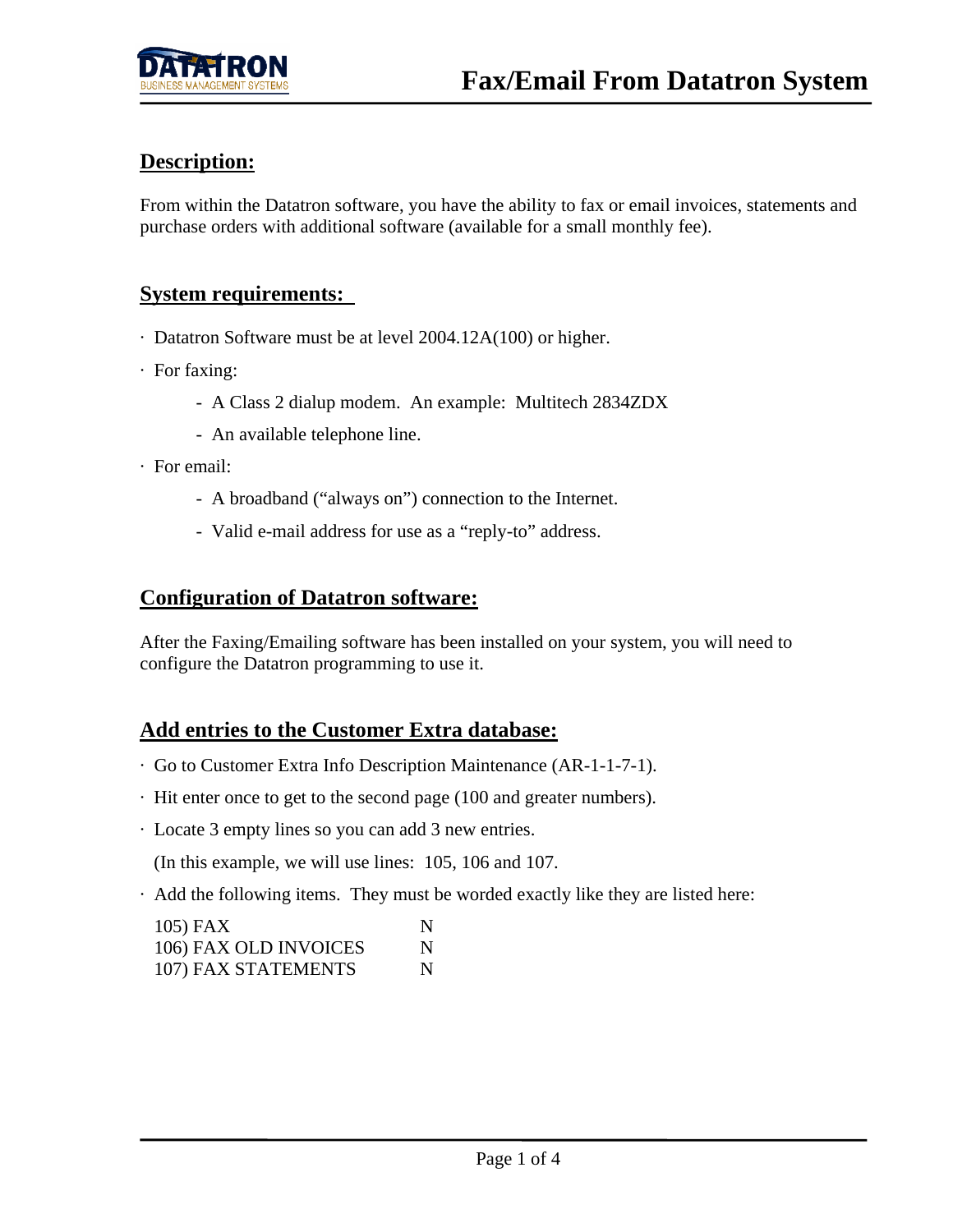## **Description:**

From within the Datatron software, you have the ability to fax or email invoices, statements and purchase orders with additional software (available for a small monthly fee).

#### **System requirements:**

- · Datatron Software must be at level 2004.12A(100) or higher.
- · For faxing:
	- A Class 2 dialup modem. An example: Multitech 2834ZDX
	- An available telephone line.
- · For email:
	- A broadband ("always on") connection to the Internet.
	- Valid e-mail address for use as a "reply-to" address.

#### **Configuration of Datatron software:**

After the Faxing/Emailing software has been installed on your system, you will need to configure the Datatron programming to use it.

#### **Add entries to the Customer Extra database:**

- · Go to Customer Extra Info Description Maintenance (AR-1-1-7-1).
- · Hit enter once to get to the second page (100 and greater numbers).
- · Locate 3 empty lines so you can add 3 new entries.

(In this example, we will use lines: 105, 106 and 107.

· Add the following items. They must be worded exactly like they are listed here:

| 105) FAX              | N |
|-----------------------|---|
| 106) FAX OLD INVOICES | N |
| 107) FAX STATEMENTS   | N |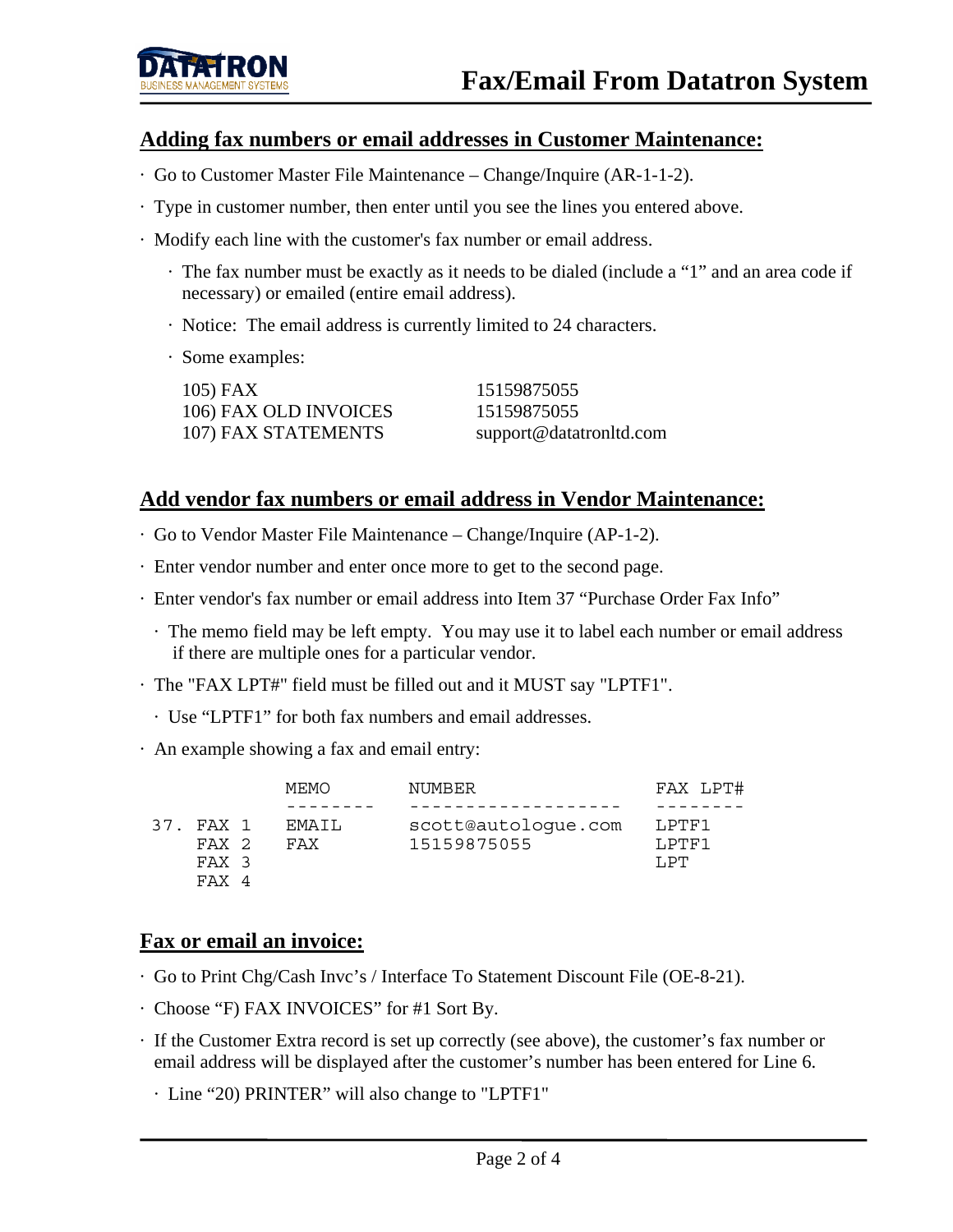#### **Adding fax numbers or email addresses in Customer Maintenance:**

- · Go to Customer Master File Maintenance Change/Inquire (AR-1-1-2).
- · Type in customer number, then enter until you see the lines you entered above.
- · Modify each line with the customer's fax number or email address.
	- · The fax number must be exactly as it needs to be dialed (include a "1" and an area code if necessary) or emailed (entire email address).
	- · Notice: The email address is currently limited to 24 characters.
	- · Some examples:

| $105$ ) FAX           | 15159875055             |
|-----------------------|-------------------------|
| 106) FAX OLD INVOICES | 15159875055             |
| 107) FAX STATEMENTS   | support@datatronltd.com |

#### **Add vendor fax numbers or email address in Vendor Maintenance:**

- · Go to Vendor Master File Maintenance Change/Inquire (AP-1-2).
- · Enter vendor number and enter once more to get to the second page.
- · Enter vendor's fax number or email address into Item 37 "Purchase Order Fax Info"
	- · The memo field may be left empty. You may use it to label each number or email address if there are multiple ones for a particular vendor.
- · The "FAX LPT#" field must be filled out and it MUST say "LPTF1".
- · Use "LPTF1" for both fax numbers and email addresses.
- · An example showing a fax and email entry:

|                                         | MEMO          | NUMBER                             | FAX LPT#                |
|-----------------------------------------|---------------|------------------------------------|-------------------------|
|                                         |               |                                    |                         |
| FAX 1<br>37.<br>FAX 2<br>FAX 3<br>FAX 4 | FMATI.<br>FAX | scott@autologue.com<br>15159875055 | LPTF1<br>T.PTF1<br>T.PT |

#### **Fax or email an invoice:**

- · Go to Print Chg/Cash Invc's / Interface To Statement Discount File (OE-8-21).
- · Choose "F) FAX INVOICES" for #1 Sort By.
- · If the Customer Extra record is set up correctly (see above), the customer's fax number or email address will be displayed after the customer's number has been entered for Line 6.
	- · Line "20) PRINTER" will also change to "LPTF1"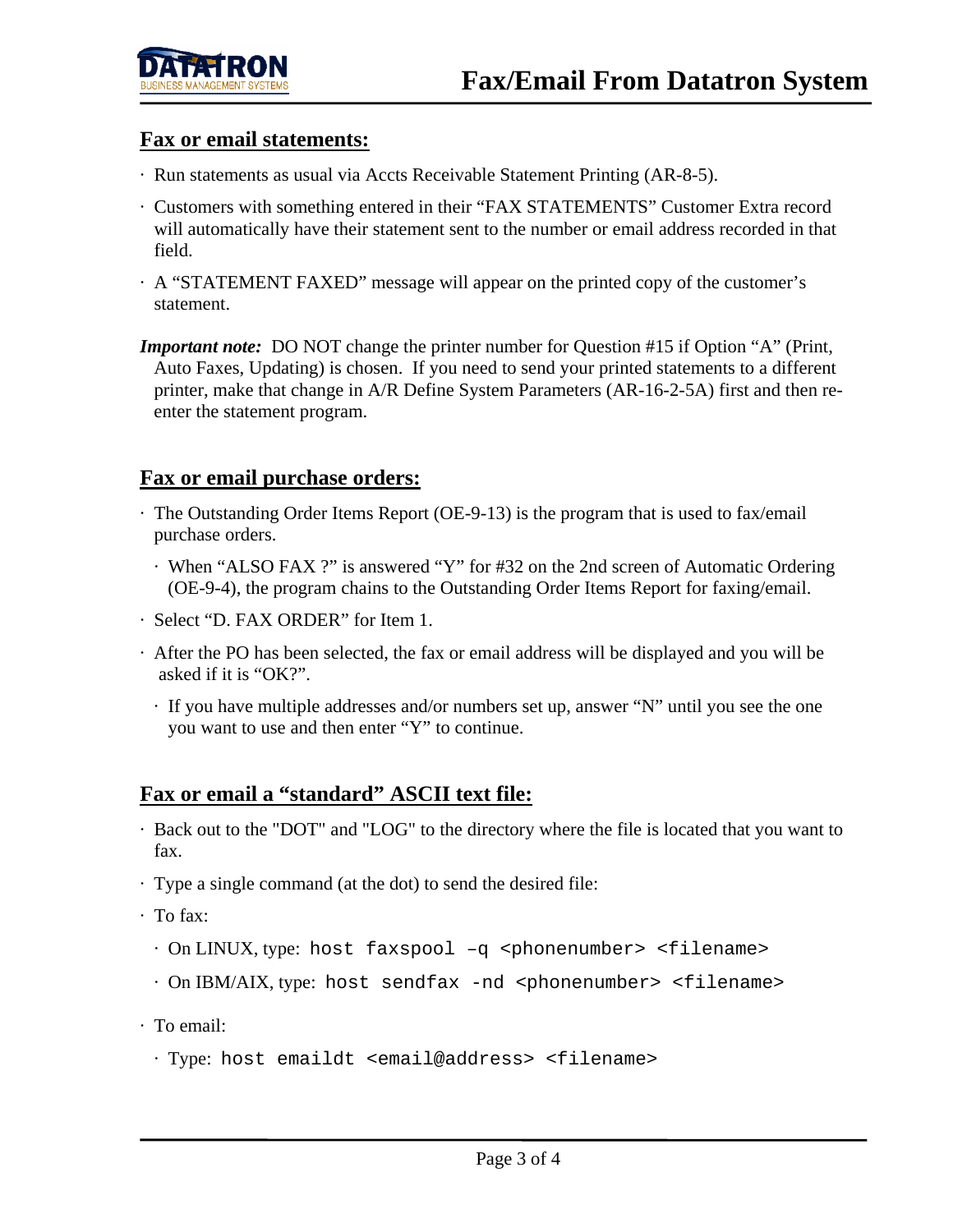## **Fax or email statements:**

- · Run statements as usual via Accts Receivable Statement Printing (AR-8-5).
- · Customers with something entered in their "FAX STATEMENTS" Customer Extra record will automatically have their statement sent to the number or email address recorded in that field.
- · A "STATEMENT FAXED" message will appear on the printed copy of the customer's statement.
- *Important note:* DO NOT change the printer number for Question #15 if Option "A" (Print, Auto Faxes, Updating) is chosen. If you need to send your printed statements to a different printer, make that change in A/R Define System Parameters (AR-16-2-5A) first and then re enter the statement program.

## **Fax or email purchase orders:**

- · The Outstanding Order Items Report (OE-9-13) is the program that is used to fax/email purchase orders.
	- · When "ALSO FAX ?" is answered "Y" for #32 on the 2nd screen of Automatic Ordering (OE-9-4), the program chains to the Outstanding Order Items Report for faxing/email.
- · Select "D. FAX ORDER" for Item 1.
- · After the PO has been selected, the fax or email address will be displayed and you will be asked if it is "OK?".
- · If you have multiple addresses and/or numbers set up, answer "N" until you see the one you want to use and then enter "Y" to continue.

## **Fax or email a "standard" ASCII text file:**

- · Back out to the "DOT" and "LOG" to the directory where the file is located that you want to fax.
- · Type a single command (at the dot) to send the desired file:
- · To fax:
	- · On LINUX, type: host faxspool –q <phonenumber> <filename>
	- · On IBM/AIX, type: host sendfax -nd <phonenumber> <filename>
- · To email:
	- · Type: host emaildt <email@address> <filename>